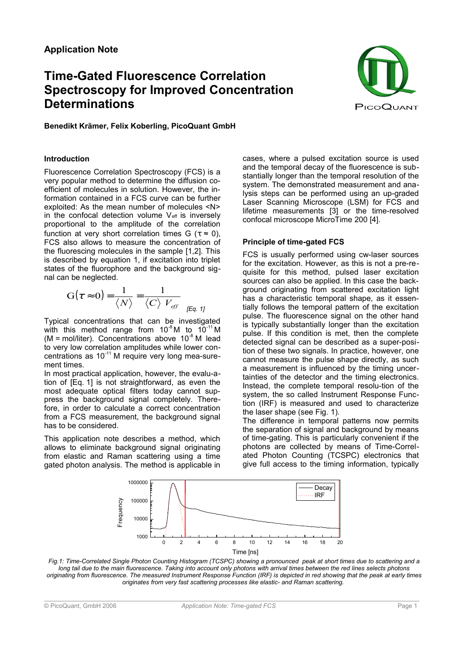# **Time-Gated Fluorescence Correlation Spectroscopy for Improved Concentration Determinations**



**Benedikt Krämer, Felix Koberling, PicoQuant GmbH** 

# **Introduction**

Fluorescence Correlation Spectroscopy (FCS) is a very popular method to determine the diffusion coefficient of molecules in solution. However, the information contained in a FCS curve can be further exploited: As the mean number of molecules <N> in the confocal detection volume  $V_{\text{eff}}$  is inversely proportional to the amplitude of the correlation function at very short correlation times G ( $\tau \approx 0$ ), FCS also allows to measure the concentration of the fluorescing molecules in the sample [1,2]. This is described by equation 1, if excitation into triplet states of the fluorophore and the background signal can be neglected.

$$
G(\tau \approx 0) = \frac{1}{\langle N \rangle} = \frac{1}{\langle C \rangle V_{\text{eff}}}
$$

Typical concentrations that can be investigated with this method range from  $10^{-8}$  M to  $10^{-11}$  M (M = mol/liter). Concentrations above  $10^{-8}$  M lead to very low correlation amplitudes while lower concentrations as 10-11 M require very long mea-surement times.

In most practical application, however, the evalu-ation of [Eq. 1] is not straightforward, as even the most adequate optical filters today cannot suppress the background signal completely. Therefore, in order to calculate a correct concentration from a FCS measurement, the background signal has to be considered.

This application note describes a method, which allows to eliminate background signal originating from elastic and Raman scattering using a time gated photon analysis. The method is applicable in

cases, where a pulsed excitation source is used and the temporal decay of the fluorescence is substantially longer than the temporal resolution of the system. The demonstrated measurement and analysis steps can be performed using an up-graded Laser Scanning Microscope (LSM) for FCS and lifetime measurements [3] or the time-resolved confocal microscope MicroTime 200 [4].

# **Principle of time-gated FCS**

FCS is usually performed using cw-laser sources for the excitation. However, as this is not a pre-requisite for this method, pulsed laser excitation sources can also be applied. In this case the background originating from scattered excitation light has a characteristic temporal shape, as it essentially follows the temporal pattern of the excitation pulse. The fluorescence signal on the other hand is typically substantially longer than the excitation pulse. If this condition is met, then the complete detected signal can be described as a super-position of these two signals. In practice, however, one cannot measure the pulse shape directly, as such a measurement is influenced by the timing uncertainties of the detector and the timing electronics. Instead, the complete temporal resolu-tion of the system, the so called Instrument Response Function (IRF) is measured and used to characterize the laser shape (see Fig. 1).

The difference in temporal patterns now permits the separation of signal and background by means of time-gating. This is particularly convenient if the photons are collected by means of Time-Correlated Photon Counting (TCSPC) electronics that give full access to the timing information, typically



*Fig.1: Time-Correlated Single Photon Counting Histogram (TCSPC) showing a pronounced peak at short times due to scattering and a long tail due to the main fluorescence. Taking into account only photons with arrival times between the red lines selects photons originating from fluorescence. The measured Instrument Response Function (IRF) is depicted in red showing that the peak at early times originates from very fast scattering processes like elastic- and Raman scattering.*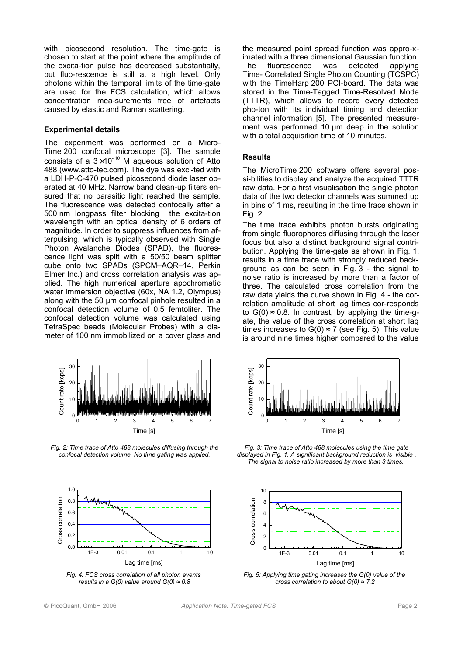with picosecond resolution. The time-gate is chosen to start at the point where the amplitude of the excita-tion pulse has decreased substantially, but fluo-rescence is still at a high level. Only photons within the temporal limits of the time-gate are used for the FCS calculation, which allows concentration mea-surements free of artefacts caused by elastic and Raman scattering.

#### **Experimental details**

The experiment was performed on a Micro-Time 200 confocal microscope [3]. The sample consists of a  $3\times10^{-10}$  M aqueous solution of Atto 488 (www.atto-tec.com). The dye was exci-ted with a LDH-P-C-470 pulsed picosecond diode laser operated at 40 MHz. Narrow band clean-up filters ensured that no parasitic light reached the sample. The fluorescence was detected confocally after a 500 nm longpass filter blocking the excita-tion wavelength with an optical density of 6 orders of magnitude. In order to suppress influences from afterpulsing, which is typically observed with Single Photon Avalanche Diodes (SPAD), the fluorescence light was split with a 50/50 beam splitter cube onto two SPADs (SPCM-AQR-14, Perkin Elmer Inc.) and cross correlation analysis was applied. The high numerical aperture apochromatic water immersion objective (60x, NA 1.2, Olympus) along with the 50 µm confocal pinhole resulted in a confocal detection volume of 0.5 femtoliter. The confocal detection volume was calculated using TetraSpec beads (Molecular Probes) with a diameter of 100 nm immobilized on a cover glass and



*Fig. 2: Time trace of Atto 488 molecules diffusing through the confocal detection volume. No time gating was applied.*





the measured point spread function was appro-ximated with a three dimensional Gaussian function.<br>The fluorescence was detected applying The fluorescence was detected Time- Correlated Single Photon Counting (TCSPC) with the TimeHarp 200 PCI-board. The data was stored in the Time-Tagged Time-Resolved Mode (TTTR), which allows to record every detected pho-ton with its individual timing and detection channel information [5]. The presented measurement was performed 10 um deep in the solution with a total acquisition time of 10 minutes.

#### **Results**

The MicroTime 200 software offers several possi-bilities to display and analyze the acquired TTTR raw data. For a first visualisation the single photon data of the two detector channels was summed up in bins of 1 ms, resulting in the time trace shown in Fig. 2.

The time trace exhibits photon bursts originating from single fluorophores diffusing through the laser focus but also a distinct background signal contribution. Applying the time-gate as shown in Fig. 1, results in a time trace with strongly reduced background as can be seen in Fig. 3 - the signal to noise ratio is increased by more than a factor of three. The calculated cross correlation from the raw data yields the curve shown in Fig. 4 - the correlation amplitude at short lag times cor-responds to  $G(0) \approx 0.8$ . In contrast, by applying the time-qate, the value of the cross correlation at short lag times increases to  $G(0) \approx 7$  (see Fig. 5). This value is around nine times higher compared to the value



*Fig. 3: Time trace of Atto 488 molecules using the time gate displayed in Fig. 1. A significant background reduction is visible . The signal to noise ratio increased by more than 3 times.* 



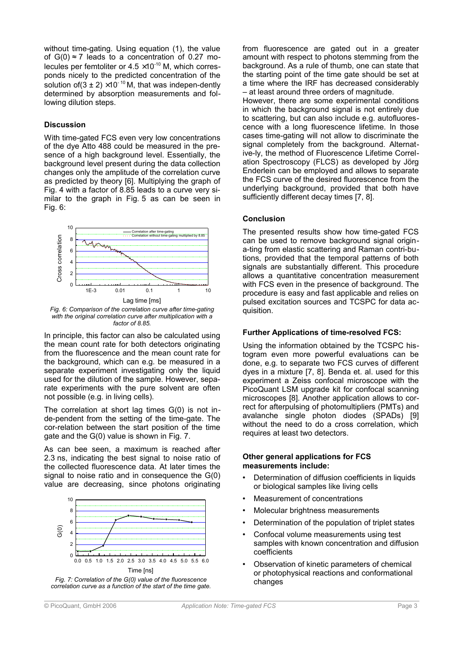without time-gating. Using equation (1), the value of  $G(0) \approx 7$  leads to a concentration of 0.27 molecules per femtoliter or  $4.5 \times 10^{-10}$  M, which corresponds nicely to the predicted concentration of the solution of  $(3 \pm 2) \times 10^{-10}$  M, that was indepen-dently determined by absorption measurements and following dilution steps.

## **Discussion**

With time-gated FCS even very low concentrations of the dye Atto 488 could be measured in the presence of a high background level. Essentially, the background level present during the data collection changes only the amplitude of the correlation curve as predicted by theory [6]. Multiplying the graph of Fig. 4 with a factor of 8.85 leads to a curve very similar to the graph in Fig. 5 as can be seen in Fig. 6:



*with the original correlation curve after multiplication with a factor of 8.85.*

In principle, this factor can also be calculated using the mean count rate for both detectors originating from the fluorescence and the mean count rate for the background, which can e.g. be measured in a separate experiment investigating only the liquid used for the dilution of the sample. However, separate experiments with the pure solvent are often not possible (e.g. in living cells).

The correlation at short lag times G(0) is not inde-pendent from the setting of the time-gate. The cor-relation between the start position of the time gate and the G(0) value is shown in Fig. 7.

As can bee seen, a maximum is reached after 2.3 ns, indicating the best signal to noise ratio of the collected fluorescence data. At later times the signal to noise ratio and in consequence the G(0) value are decreasing, since photons originating



*Fig. 7: Correlation of the G(0) value of the fluorescence correlation curve as a function of the start of the time gate.* from fluorescence are gated out in a greater amount with respect to photons stemming from the background. As a rule of thumb, one can state that the starting point of the time gate should be set at a time where the IRF has decreased considerably – at least around three orders of magnitude.

However, there are some experimental conditions in which the background signal is not entirely due to scattering, but can also include e.g. autofluorescence with a long fluorescence lifetime. In those cases time-gating will not allow to discriminate the signal completely from the background. Alternative-ly, the method of Fluorescence Lifetime Correlation Spectroscopy (FLCS) as developed by Jörg Enderlein can be employed and allows to separate the FCS curve of the desired fluorescence from the underlying background, provided that both have sufficiently different decay times [7, 8].

#### **Conclusion**

The presented results show how time-gated FCS can be used to remove background signal origina-ting from elastic scattering and Raman contri-butions, provided that the temporal patterns of both signals are substantially different. This procedure allows a quantitative concentration measurement with FCS even in the presence of background. The procedure is easy and fast applicable and relies on pulsed excitation sources and TCSPC for data acquisition.

## **Further Applications of time-resolved FCS:**

Using the information obtained by the TCSPC histogram even more powerful evaluations can be done, e.g. to separate two FCS curves of different dyes in a mixture [7, 8]. Benda et. al. used for this experiment a Zeiss confocal microscope with the PicoQuant LSM upgrade kit for confocal scanning microscopes [8]. Another application allows to correct for afterpulsing of photomultipliers (PMTs) and avalanche single photon diodes (SPADs) [9] without the need to do a cross correlation, which requires at least two detectors.

#### **Other general applications for FCS measurements include:**

- Determination of diffusion coefficients in liquids or biological samples like living cells
- Measurement of concentrations
- Molecular brightness measurements
- Determination of the population of triplet states
- Confocal volume measurements using test samples with known concentration and diffusion coefficients
- Observation of kinetic parameters of chemical or photophysical reactions and conformational changes